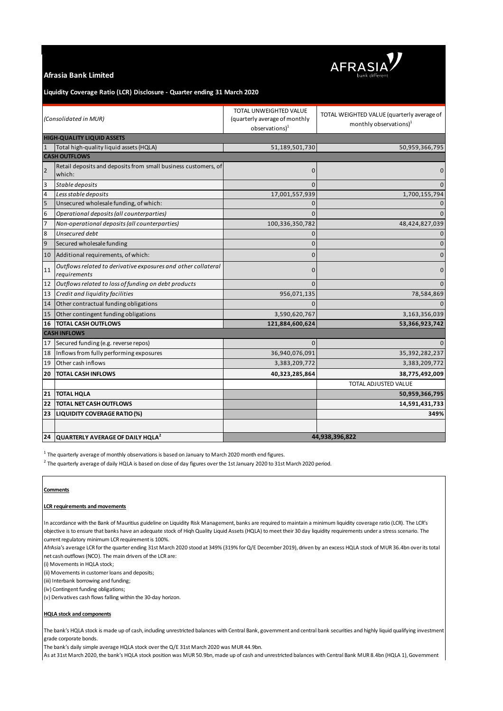

# **Afrasia Bank Limited**

# **Liquidity Coverage Ratio (LCR) Disclosure - Quarter ending 31 March 2020**

| (Consolidated in MUR)             |                                                                               | TOTAL UNWEIGHTED VALUE<br>(quarterly average of monthly<br>observation <sub>1</sub> | TOTAL WEIGHTED VALUE (quarterly average of<br>monthly observations) <sup>1</sup> |
|-----------------------------------|-------------------------------------------------------------------------------|-------------------------------------------------------------------------------------|----------------------------------------------------------------------------------|
| <b>HIGH-QUALITY LIQUID ASSETS</b> |                                                                               |                                                                                     |                                                                                  |
| $\mathbf{1}$                      | Total high-quality liquid assets (HQLA)                                       | 51,189,501,730                                                                      | 50,959,366,795                                                                   |
| <b>CASH OUTFLOWS</b>              |                                                                               |                                                                                     |                                                                                  |
| $\overline{2}$                    | Retail deposits and deposits from small business customers, of<br>which:      | $\mathbf{0}$                                                                        | $\mathbf 0$                                                                      |
| 3                                 | Stable deposits                                                               | $\Omega$                                                                            | $\mathbf{0}$                                                                     |
| 4                                 | Less stable deposits                                                          | 17,001,557,939                                                                      | 1,700,155,794                                                                    |
| 5                                 | Unsecured wholesale funding, of which:                                        | $\Omega$                                                                            |                                                                                  |
| 6                                 | Operational deposits (all counterparties)                                     | $\Omega$                                                                            | $\mathbf{0}$                                                                     |
| $\overline{7}$                    | Non-operational deposits (all counterparties)                                 | 100,336,350,782                                                                     | 48,424,827,039                                                                   |
| 8                                 | Unsecured debt                                                                | $\Omega$                                                                            | $\mathbf 0$                                                                      |
| 9                                 | Secured wholesale funding                                                     | $\Omega$                                                                            | $\mathbf{0}$                                                                     |
| 10                                | Additional requirements, of which:                                            | $\mathbf 0$                                                                         | $\pmb{0}$                                                                        |
| 11                                | Outflows related to derivative exposures and other collateral<br>requirements | $\mathbf 0$                                                                         | 0                                                                                |
| 12                                | Outflows related to loss of funding on debt products                          | $\Omega$                                                                            | $\Omega$                                                                         |
| 13                                | Credit and liquidity facilities                                               | 956,071,135                                                                         | 78,584,869                                                                       |
| 14                                | Other contractual funding obligations                                         |                                                                                     | $\mathbf{0}$                                                                     |
| 15                                | Other contingent funding obligations                                          | 3,590,620,767                                                                       | 3,163,356,039                                                                    |
| 16                                | <b>TOTAL CASH OUTFLOWS</b>                                                    | 121,884,600,624                                                                     | 53,366,923,742                                                                   |
| <b>CASH INFLOWS</b>               |                                                                               |                                                                                     |                                                                                  |
| 17                                | Secured funding (e.g. reverse repos)                                          | $\mathbf{0}$                                                                        | $\Omega$                                                                         |
| 18                                | Inflows from fully performing exposures                                       | 36,940,076,091                                                                      | 35,392,282,237                                                                   |
| 19                                | Other cash inflows                                                            | 3,383,209,772                                                                       | 3,383,209,772                                                                    |
| 20                                | <b>TOTAL CASH INFLOWS</b>                                                     | 40,323,285,864                                                                      | 38,775,492,009                                                                   |
|                                   |                                                                               |                                                                                     | TOTAL ADJUSTED VALUE                                                             |
| 21                                | <b>TOTAL HQLA</b>                                                             |                                                                                     | 50,959,366,795                                                                   |
| 22                                | <b>TOTAL NET CASH OUTFLOWS</b>                                                |                                                                                     | 14,591,431,733                                                                   |
| 23                                | <b>LIQUIDITY COVERAGE RATIO (%)</b>                                           |                                                                                     | 349%                                                                             |
|                                   |                                                                               |                                                                                     |                                                                                  |
| 24                                | QUARTERLY AVERAGE OF DAILY HQLA <sup>2</sup>                                  | 44,938,396,822                                                                      |                                                                                  |

 $^{\rm 1}$  The quarterly average of monthly observations is based on January to March 2020 month end figures.

 $^2$  The quarterly average of daily HQLA is based on close of day figures over the 1st January 2020 to 31st March 2020 period.

# **Comments**

#### **LCR requirements and movements**

In accordance with the Bank of Mauritius guideline on Liquidity Risk Management, banks are required to maintain a minimum liquidity coverage ratio (LCR). The LCR's objective is to ensure that banks have an adequate stock of Hiqh Quality Liquid Assets (HQLA) to meet their 30 day liquidity requirements under a stress scenario. The current regulatory minimum LCR requirement is 100%.

AfrAsia's average LCR for the quarter ending 31st March 2020 stood at 349% (319% for Q/E December 2019), driven by an excess HQLA stock of MUR 36.4bn over its total net cash outflows (NCO). The main drivers of the LCR are:

(i) Movements in HQLA stock;

(ii) Movements in customer loans and deposits;

(iii) Interbank borrowing and funding;

(iv) Contingent funding obligations;

(v) Derivatives cash flows falling within the 30-day horizon.

## **HQLA stock and components**

The bank's HQLA stock is made up of cash, including unrestricted balances with Central Bank, government and central bank securities and highly liquid qualifying investment grade corporate bonds.

The bank's daily simple average HQLA stock over the Q/E 31st March 2020 was MUR 44.9bn.

As at 31st March 2020, the bank's HQLA stock position was MUR 50.9bn, made up of cash and unrestricted balances with Central Bank MUR 8.4bn (HQLA 1), Government